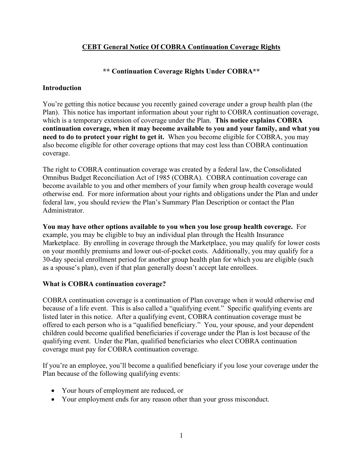## **CEBT General Notice Of COBRA Continuation Coverage Rights**

## **\*\* Continuation Coverage Rights Under COBRA\*\***

### **Introduction**

You're getting this notice because you recently gained coverage under a group health plan (the Plan). This notice has important information about your right to COBRA continuation coverage, which is a temporary extension of coverage under the Plan. **This notice explains COBRA continuation coverage, when it may become available to you and your family, and what you need to do to protect your right to get it.** When you become eligible for COBRA, you may also become eligible for other coverage options that may cost less than COBRA continuation coverage.

The right to COBRA continuation coverage was created by a federal law, the Consolidated Omnibus Budget Reconciliation Act of 1985 (COBRA). COBRA continuation coverage can become available to you and other members of your family when group health coverage would otherwise end. For more information about your rights and obligations under the Plan and under federal law, you should review the Plan's Summary Plan Description or contact the Plan Administrator.

**You may have other options available to you when you lose group health coverage.** For example, you may be eligible to buy an individual plan through the Health Insurance Marketplace. By enrolling in coverage through the Marketplace, you may qualify for lower costs on your monthly premiums and lower out-of-pocket costs. Additionally, you may qualify for a 30-day special enrollment period for another group health plan for which you are eligible (such as a spouse's plan), even if that plan generally doesn't accept late enrollees.

## **What is COBRA continuation coverage?**

COBRA continuation coverage is a continuation of Plan coverage when it would otherwise end because of a life event. This is also called a "qualifying event." Specific qualifying events are listed later in this notice. After a qualifying event, COBRA continuation coverage must be offered to each person who is a "qualified beneficiary." You, your spouse, and your dependent children could become qualified beneficiaries if coverage under the Plan is lost because of the qualifying event. Under the Plan, qualified beneficiaries who elect COBRA continuation coverage must pay for COBRA continuation coverage.

If you're an employee, you'll become a qualified beneficiary if you lose your coverage under the Plan because of the following qualifying events:

- Your hours of employment are reduced, or
- Your employment ends for any reason other than your gross misconduct.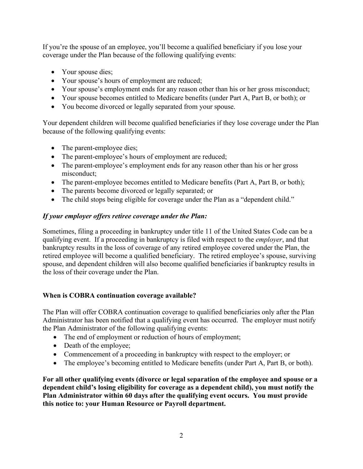If you're the spouse of an employee, you'll become a qualified beneficiary if you lose your coverage under the Plan because of the following qualifying events:

- Your spouse dies;
- Your spouse's hours of employment are reduced;
- Your spouse's employment ends for any reason other than his or her gross misconduct;
- Your spouse becomes entitled to Medicare benefits (under Part A, Part B, or both); or
- You become divorced or legally separated from your spouse.

Your dependent children will become qualified beneficiaries if they lose coverage under the Plan because of the following qualifying events:

- The parent-employee dies;
- The parent-employee's hours of employment are reduced;
- The parent-employee's employment ends for any reason other than his or her gross misconduct;
- The parent-employee becomes entitled to Medicare benefits (Part A, Part B, or both);
- The parents become divorced or legally separated; or
- The child stops being eligible for coverage under the Plan as a "dependent child."

# *If your employer offers retiree coverage under the Plan:*

Sometimes, filing a proceeding in bankruptcy under title 11 of the United States Code can be a qualifying event. If a proceeding in bankruptcy is filed with respect to the *employer*, and that bankruptcy results in the loss of coverage of any retired employee covered under the Plan, the retired employee will become a qualified beneficiary. The retired employee's spouse, surviving spouse, and dependent children will also become qualified beneficiaries if bankruptcy results in the loss of their coverage under the Plan.

# **When is COBRA continuation coverage available?**

The Plan will offer COBRA continuation coverage to qualified beneficiaries only after the Plan Administrator has been notified that a qualifying event has occurred. The employer must notify the Plan Administrator of the following qualifying events:

- The end of employment or reduction of hours of employment;
- Death of the employee;
- Commencement of a proceeding in bankruptcy with respect to the employer; or
- The employee's becoming entitled to Medicare benefits (under Part A, Part B, or both).

**For all other qualifying events (divorce or legal separation of the employee and spouse or a dependent child's losing eligibility for coverage as a dependent child), you must notify the Plan Administrator within 60 days after the qualifying event occurs. You must provide this notice to: your Human Resource or Payroll department.**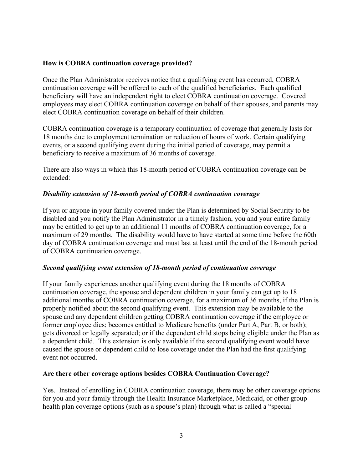### **How is COBRA continuation coverage provided?**

Once the Plan Administrator receives notice that a qualifying event has occurred, COBRA continuation coverage will be offered to each of the qualified beneficiaries. Each qualified beneficiary will have an independent right to elect COBRA continuation coverage. Covered employees may elect COBRA continuation coverage on behalf of their spouses, and parents may elect COBRA continuation coverage on behalf of their children.

COBRA continuation coverage is a temporary continuation of coverage that generally lasts for 18 months due to employment termination or reduction of hours of work. Certain qualifying events, or a second qualifying event during the initial period of coverage, may permit a beneficiary to receive a maximum of 36 months of coverage.

There are also ways in which this 18-month period of COBRA continuation coverage can be extended:

#### *Disability extension of 18-month period of COBRA continuation coverage*

If you or anyone in your family covered under the Plan is determined by Social Security to be disabled and you notify the Plan Administrator in a timely fashion, you and your entire family may be entitled to get up to an additional 11 months of COBRA continuation coverage, for a maximum of 29 months. The disability would have to have started at some time before the 60th day of COBRA continuation coverage and must last at least until the end of the 18-month period of COBRA continuation coverage.

#### *Second qualifying event extension of 18-month period of continuation coverage*

If your family experiences another qualifying event during the 18 months of COBRA continuation coverage, the spouse and dependent children in your family can get up to 18 additional months of COBRA continuation coverage, for a maximum of 36 months, if the Plan is properly notified about the second qualifying event. This extension may be available to the spouse and any dependent children getting COBRA continuation coverage if the employee or former employee dies; becomes entitled to Medicare benefits (under Part A, Part B, or both); gets divorced or legally separated; or if the dependent child stops being eligible under the Plan as a dependent child. This extension is only available if the second qualifying event would have caused the spouse or dependent child to lose coverage under the Plan had the first qualifying event not occurred.

#### **Are there other coverage options besides COBRA Continuation Coverage?**

Yes. Instead of enrolling in COBRA continuation coverage, there may be other coverage options for you and your family through the Health Insurance Marketplace, Medicaid, or other group health plan coverage options (such as a spouse's plan) through what is called a "special